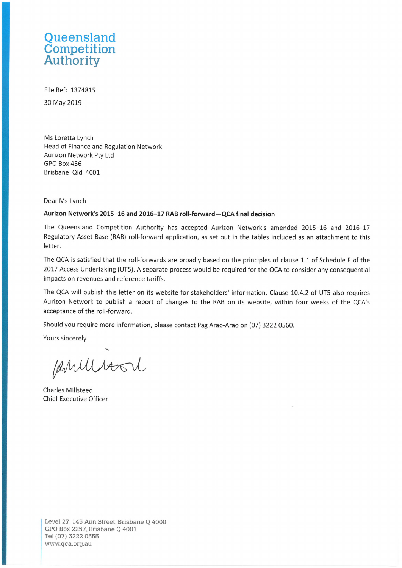## **Queensland Competition Authority**

File Ref: 1374815 30 May 2019

Ms Loretta Lynch Head of Finance and Regulation Network Aurizon Network Pty Ltd GPO Box 456 Brisbane Qld 4001

Dear Ms Lynch

## **Aurizon Network's 2015-16 and 2016-17 RAB roll-forward—QCA final decision**

The Queensland Competition Authority has accepted Aurizon Network's amended 2015-16 and 2016-17 Regulatory Asset Base (RAB) roll-forward application, as set out in the tables included as an attachment to this letter.

The QCA is satisfied that the roll-forwards are broadly based on the principles of clause 1.1 of Schedule <sup>E</sup> of the 2017 Access Undertaking (UT5). A separate process would be required for the QCA to consider any consequential impacts on revenues and reference tariffs.

The QCA will publish this letter on its website for stakeholders' information. Clause 10.4.2 of UT5 also requires Aurizon Network to publish <sup>a</sup> report of changes to the RAB on its website, within four weeks of the QCA's acceptance of the roll-forward.

Should you require more information, please contact Pag Arao-Arao on (07) 3222 0560.

Yours sincerely

Parillison

Charles Millsteed Chief Executive Officer

**Level 27,145 Ann Street, Brisbane Q 4000 GPO Box 2257, Brisbane Q 4001 Tel (07) 3222 0555 [www.qca.org.au](http://www.qca.org.au)**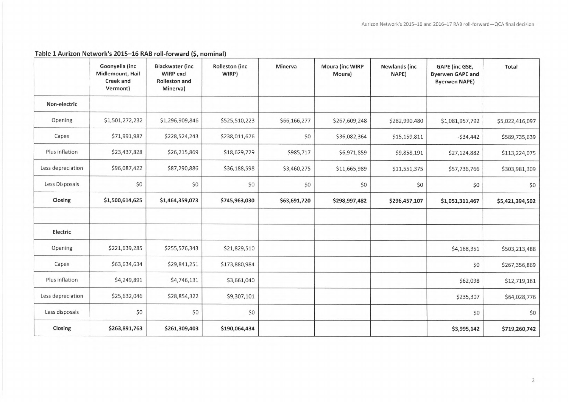|                   | Goonyella (inc<br>Midlemount, Hail<br>Creek and<br>Vermont) | <b>Blackwater (inc</b><br><b>WIRP excl</b><br><b>Rolleston and</b><br>Minerva) | <b>Rolleston</b> (inc<br>WIRP) | Minerva      | <b>Moura (inc WIRP</b><br>Moura) | <b>Newlands (inc</b><br>NAPE) | GAPE (inc GSE,<br><b>Byerwen GAPE and</b><br><b>Byerwen NAPE)</b> | Total           |
|-------------------|-------------------------------------------------------------|--------------------------------------------------------------------------------|--------------------------------|--------------|----------------------------------|-------------------------------|-------------------------------------------------------------------|-----------------|
| Non-electric      |                                                             |                                                                                |                                |              |                                  |                               |                                                                   |                 |
| Opening           | \$1,501,272,232                                             | \$1,296,909,846                                                                | \$525,510,223                  | \$66,166,277 | \$267,609,248                    | \$282,990,480                 | \$1,081,957,792                                                   | \$5,022,416,097 |
| Capex             | \$71,991,987                                                | \$228,524,243                                                                  | \$238,011,676                  | \$0          | \$36,082,364                     | \$15,159,811                  | $-534,442$                                                        | \$589,735,639   |
| Plus inflation    | \$23,437,828                                                | \$26,215,869                                                                   | \$18,629,729                   | \$985,717    | \$6,971,859                      | \$9,858,191                   | \$27,124,882                                                      | \$113,224,075   |
| Less depreciation | \$96,087,422                                                | \$87,290,886                                                                   | \$36,188,598                   | \$3,460,275  | \$11,665,989                     | \$11,551,375                  | \$57,736,766                                                      | \$303,981,309   |
| Less Disposals    | \$0                                                         | \$0                                                                            | \$0                            | \$0          | \$0                              | \$0                           | \$0                                                               | \$0             |
| Closing           | \$1,500,614,625                                             | \$1,464,359,073                                                                | \$745,963,030                  | \$63,691,720 | \$298,997,482                    | \$296,457,107                 | \$1,051,311,467                                                   | \$5,421,394,502 |
|                   |                                                             |                                                                                |                                |              |                                  |                               |                                                                   |                 |
| Electric          |                                                             |                                                                                |                                |              |                                  |                               |                                                                   |                 |
| Opening           | \$221,639,285                                               | \$255,576,343                                                                  | \$21,829,510                   |              |                                  |                               | \$4,168,351                                                       | \$503,213,488   |
| Capex             | \$63,634,634                                                | \$29,841,251                                                                   | \$173,880,984                  |              |                                  |                               | \$0                                                               | \$267,356,869   |
| Plus inflation    | \$4,249,891                                                 | \$4,746,131                                                                    | \$3,661,040                    |              |                                  |                               | \$62,098                                                          | \$12,719,161    |
| Less depreciation | \$25,632,046                                                | \$28,854,322                                                                   | \$9,307,101                    |              |                                  |                               | \$235,307                                                         | \$64,028,776    |
| Less disposals    | \$0                                                         | \$0                                                                            | \$0                            |              |                                  |                               | \$0                                                               | \$0             |
| Closing           | \$263,891,763                                               | \$261,309,403                                                                  | \$190,064,434                  |              |                                  |                               | \$3,995,142                                                       | \$719,260,742   |

## **Table 1 Aurizon Network's 2015-16 RAB roll-forward (\$, nominal)**